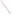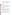# **Technical Factsheet on: 1,2,4-TRICHLOROBENZENE**

[List of Contaminants](http://www.epa.gov/safewater/hfacts.html) 

 As part of the Drinking Water and Health pages, this fact sheet is part of a larger publication: **National Primary Drinking Water Regulations** 

## **Drinking Water Standards**

 MCLG: 0.07 mg/L MCL: 0.07 mg/L HAL(child): 1 day: 0.1 mg/L; Longer term: 0.1 mg/L

### **Health Effects Summary**

 Acute: EPA has found 1,2,4-trichlorobenzene to potentially cause the following health effects from acute exposures at levels above the MCL: changes in liver, kidneys and adrenal glands

 consuming 1 liter of water per day: upto a 7-year exposure to 0.1 mg/L. Drinking water levels which are considered "safe" for short-term exposures: For a 10-kg (22 lb.) child

 exposures at levels above the MCL: increased adrenal gland weights Chronic: 1,2,4-Trichlorobenzene has the potential to cause the following health effects from long-term

 Cancer: There is presently no evidence that 1,2,4-Trichlorobenzene has the potential to cause cancer from a lifetime exposure in drinking water.

### **Usage Patterns**

Current production figures on 1,2,4-trichlorobenzene are not available. EPA estimated 1983 production to be in the range of 3 to 8 million lbs. 1983 imports were reportedly over 3 million lbs.

 1,2,4-Trichlorobenzene is primarily used as a dye carrier. Other uses include: an intermediate in the manufacture of herbicides and higher chlorinated benzenes; dielectric fluid; solvent; heat-transfer medium; degreasing agents; septic tank and drain cleaners; wood preservatives; and abrasive formulations. It was once used as a soil treatment for termite control.

### **Release Patterns**

Major environmental releases of 1,2,4-trichlorobenzene are due to its manufacture and use as a dye carrier. 1,2,4-Trichlorobenzene is also a product of hexachlorobenzene dechlorination by anaerobic sewage sludge.

 releases to land and water totalled over 180,000 lbs., of which about 87% was to water. These releases From 1987 to 1993, according to EPA's Toxic Chemical Release Inventory, 1,2,4- trichlorobenzene were primarily from textile finishing industries. The largest releases occurred in North Carolina and Virginia.

### **Environmental Fate**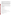If 1,2,4-trichlorobenzene (1,2,4-TCB) is released to the soil it will probably adsorb to the soil and therefore will not leach appreciably to the groundwater. However, 1,2,4-TCB has been detected in some groundwater samples which indicates that it can be transported there by some process. 1,2,4-TCB will not hydrolyze or biodegrade in groundwater, but it may biodegrade slowly in the soil based upon the data from one experiment.

If released to water it will adsorb to the sediments. It will not hydrolyze in surface waters but it may be subject to significant biodegradation. It is expected to significantly evaporate from water with half-lives of 11-22 days for evaporation from a seawater microcosm and a half-life of 4.2 hr predicted for evaporation from a model river. Adsorption to sediments or absorption by microorganisms may minimize the rate of evaporation. A half-life of 450 years has been reported for sunlight photolysis in surface waters at 40 deg latitude in summer.

If 1,2,4-trichlorobenzene is released to the atmosphere, it may react with photochemically produced hydroxyl radicals with a resulting estimated vapor phase half-life in the atmosphere of 18.5 days.

Bioconcentration in aquatic organisms has been measured and values for fish ranging from 51 to 2800 have been reported.

Exposure to 1,2,4-trichlorobenzene will result mainly from occupational exposure during its manufacture and use, while general population exposure will result from the ingestion of contaminated drinking water and food, especially contaminated fish.

### **Chemical/Physical Properties**

CAS Number: 120-82-1

Color/ Form/Odor: Aromatic, colorless liquid

M.P.: 17 C B.P.: 213.5 C

Vapor Pressure: 0.29 mm Hg at 25 C

Octanol/Water Partition (Kow): Log Kow = 4.02

Density/Spec. Grav.: 1.45 at 20 C

Solubility: 30 mg/L of water at 20 C; Slightly soluble in water

Density/Spec. Grav.: 1.45 at 20 C<br>Solubility: 30 mg/L of water at 20 C; Slightly soluble in water<br>Soil sorption coefficient: Koc ranges from 1000 to 5000; moderate to high mobility in soil

Odor/Taste Thresholds: Odor threshold in water is 3 mg/L

Bioconcentration Factor: BCFs range from 490 to 2800 in fish; expected to bioconcentrate in aquatic organisms.

Henry's Law Coefficient: 3.9x10-3 atm-cu m/mole

Trade Names/Synonyms: 1,2,4-Trichlorobenzol, Hostetex L-PEC

#### **Other Regulatory Information**